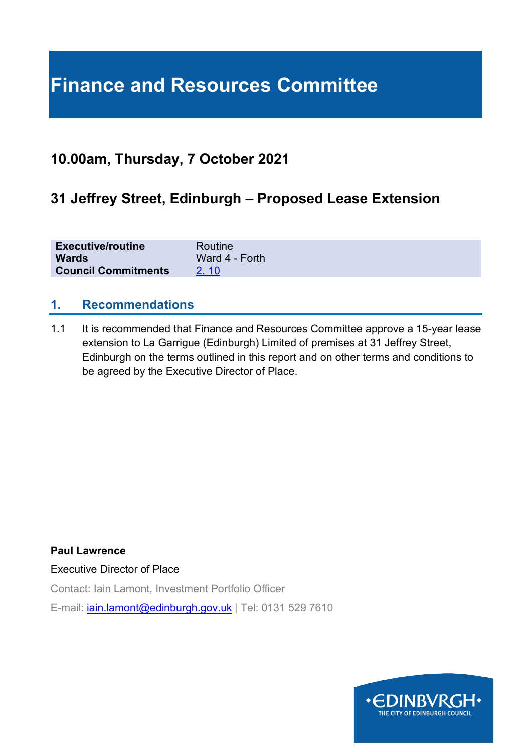# **Finance and Resources Committee**

# **10.00am, Thursday, 7 October 2021**

# **31 Jeffrey Street, Edinburgh – Proposed Lease Extension**

| <b>Executive/routine</b>   | Routine        |
|----------------------------|----------------|
| <b>Wards</b>               | Ward 4 - Forth |
| <b>Council Commitments</b> | 2.10           |

### **1. Recommendations**

1.1 It is recommended that Finance and Resources Committee approve a 15-year lease extension to La Garrigue (Edinburgh) Limited of premises at 31 Jeffrey Street, Edinburgh on the terms outlined in this report and on other terms and conditions to be agreed by the Executive Director of Place.

**Paul Lawrence** Executive Director of Place Contact: Iain Lamont, Investment Portfolio Officer

E-mail: *[iain.lamont@edinburgh.gov.uk](mailto:iain.lamont@edinburgh.gov.uk)* | Tel: 0131 529 7610

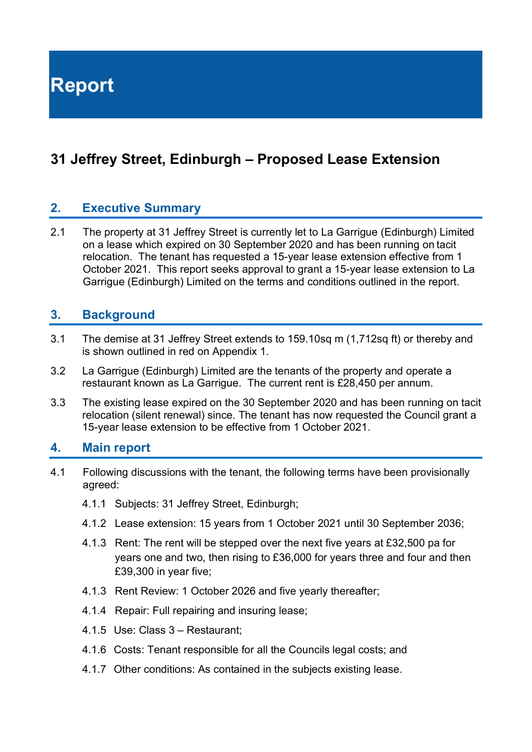**Report**

# **31 Jeffrey Street, Edinburgh – Proposed Lease Extension**

### **2. Executive Summary**

2.1 The property at 31 Jeffrey Street is currently let to La Garrigue (Edinburgh) Limited on a lease which expired on 30 September 2020 and has been running on tacit relocation. The tenant has requested a 15-year lease extension effective from 1 October 2021. This report seeks approval to grant a 15-year lease extension to La Garrigue (Edinburgh) Limited on the terms and conditions outlined in the report.

### **3. Background**

- 3.1 The demise at 31 Jeffrey Street extends to 159.10sq m (1,712sq ft) or thereby and is shown outlined in red on Appendix 1.
- 3.2 La Garrigue (Edinburgh) Limited are the tenants of the property and operate a restaurant known as La Garrigue. The current rent is £28,450 per annum.
- 3.3 The existing lease expired on the 30 September 2020 and has been running on tacit relocation (silent renewal) since. The tenant has now requested the Council grant a 15-year lease extension to be effective from 1 October 2021.

#### **4. Main report**

- 4.1 Following discussions with the tenant, the following terms have been provisionally agreed:
	- 4.1.1 Subjects: 31 Jeffrey Street, Edinburgh;
	- 4.1.2 Lease extension: 15 years from 1 October 2021 until 30 September 2036;
	- 4.1.3 Rent: The rent will be stepped over the next five years at £32,500 pa for years one and two, then rising to £36,000 for years three and four and then £39,300 in year five;
	- 4.1.3 Rent Review: 1 October 2026 and five yearly thereafter;
	- 4.1.4 Repair: Full repairing and insuring lease;
	- 4.1.5 Use: Class 3 Restaurant;
	- 4.1.6 Costs: Tenant responsible for all the Councils legal costs; and
	- 4.1.7 Other conditions: As contained in the subjects existing lease.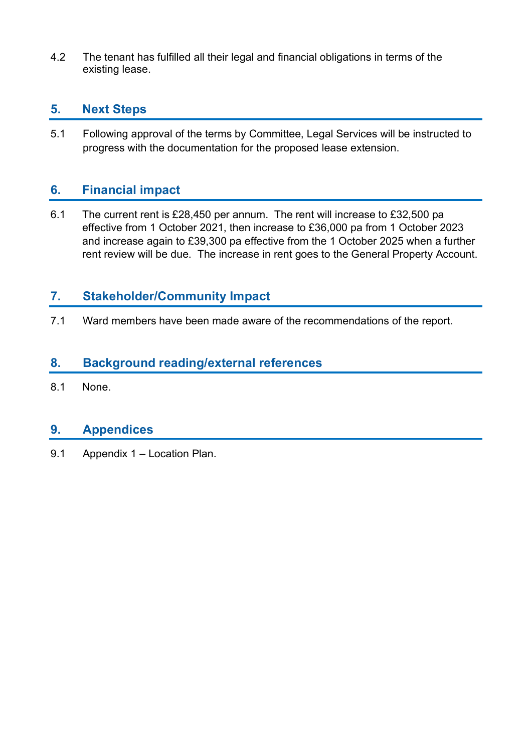4.2 The tenant has fulfilled all their legal and financial obligations in terms of the existing lease.

# **5. Next Steps**

5.1 Following approval of the terms by Committee, Legal Services will be instructed to progress with the documentation for the proposed lease extension.

# **6. Financial impact**

6.1 The current rent is £28,450 per annum. The rent will increase to £32,500 pa effective from 1 October 2021, then increase to £36,000 pa from 1 October 2023 and increase again to £39,300 pa effective from the 1 October 2025 when a further rent review will be due. The increase in rent goes to the General Property Account.

# **7. Stakeholder/Community Impact**

7.1 Ward members have been made aware of the recommendations of the report.

# **8. Background reading/external references**

8.1 None.

#### **9. Appendices**

9.1 Appendix 1 – Location Plan.